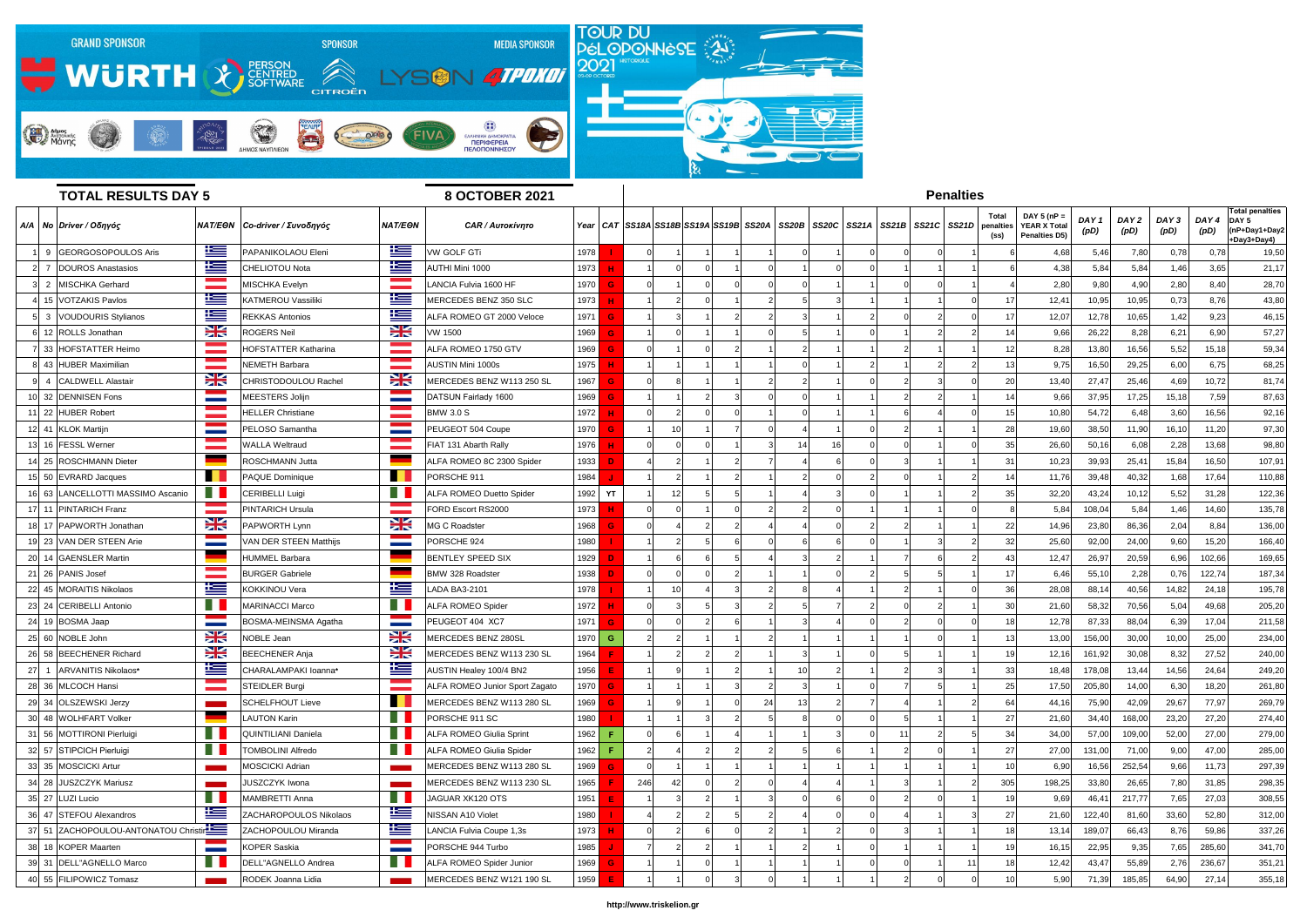

|     | <b>TOTAL RESULTS DAY 5</b>           | <b>8 OCTOBER 2021</b>    | <b>Penalties</b>                |                            |                                |      |     |    |                                                    |    |    |                      |                         |    |                            |                                                        |                          |                          |               |              |                                                                |
|-----|--------------------------------------|--------------------------|---------------------------------|----------------------------|--------------------------------|------|-----|----|----------------------------------------------------|----|----|----------------------|-------------------------|----|----------------------------|--------------------------------------------------------|--------------------------|--------------------------|---------------|--------------|----------------------------------------------------------------|
|     | A/A   No   Driver / Οδηγός           |                          | NAT/EΘN   Co-driver / Συνοδηγός | NAT/EON                    | <b>CAR / Aurokívnro</b>        |      |     |    | Year   CAT   SS18A   SS18B   SS19A   SS19B   SS20A |    |    | SS20B SS20C<br>SS21A | $SS21B$ $SS21C$ $SS21D$ |    | Total<br>penalties<br>(ss) | DAY 5 ( $nP =$<br>YEAR X Total<br><b>Penalties D5)</b> | DAY <sub>1</sub><br>(pD) | DAY <sub>2</sub><br>(pD) | DAY 3<br>(pD) | DAY4<br>(pD) | <b>Total penalties</b><br>DAY 5<br>nP+Day1+Day2<br>+Day3+Day4) |
| - 9 | GEORGOSOPOULOS Aris                  | 上三                       | PAPANIKOLAOU Eleni              | 上三                         | <b>VW GOLF GTi</b>             | 1978 |     |    |                                                    |    |    |                      |                         |    |                            | 4,68                                                   | 5,46                     | 7,80                     | 0,78          | 0,78         | 19,50                                                          |
|     | DOUROS Anastasios                    | N                        | <b>CHELIOTOU Nota</b>           | İ                          | AUTHI Mini 1000                | 1973 |     |    |                                                    |    |    |                      |                         |    |                            | 4,38                                                   | 5,84                     | 5,84                     | 1,46          | 3,65         | 21,17                                                          |
|     | 2 MISCHKA Gerhard                    |                          | <b>MISCHKA Evelyn</b>           |                            | LANCIA Fulvia 1600 HF          | 1970 |     |    |                                                    |    |    |                      |                         |    |                            | 2,80                                                   | 9,80                     | 4,90                     | 2,80          | 8,40         | 28,70                                                          |
|     | 15 VOTZAKIS Pavlos                   | N                        | <b>KATMEROU Vassiliki</b>       | Ħ                          | MERCEDES BENZ 350 SLC          | 1973 |     |    |                                                    |    |    |                      |                         |    | 17                         | 12,4'                                                  | 10,95                    | 10,95                    | 0,73          | 8,76         | 43,80                                                          |
|     | 3 VOUDOURIS Stylianos                | l                        | <b>REKKAS Antonios</b>          | l                          | ALFA ROMEO GT 2000 Veloce      | 1971 |     |    |                                                    |    |    |                      |                         |    | 17                         | 12,07                                                  | 12,78                    | 10,65                    | 1,42          | 9,23         | 46,15                                                          |
|     | 12 ROLLS Jonathan                    | X                        | <b>ROGERS Neil</b>              | X                          | VW 1500                        | 1969 |     |    |                                                    |    |    |                      |                         |    | 14                         | 9,66                                                   | 26,22                    | 8,28                     | 6,21          | 6,90         | 57,27                                                          |
|     | 33 HOFSTATTER Heimo                  |                          | HOFSTATTER Katharina            |                            | <b>ILFA ROMEO 1750 GTV</b>     | 1969 |     |    |                                                    |    |    |                      |                         |    |                            | 8,28                                                   | 13,80                    | 16,56                    | 5,52          | 15,18        | 59,34                                                          |
|     | 8  43 HUBER Maximilian               |                          | NEMETH Barbara                  | $\sim 10^{11}$ m $^{-1}$ . | AUSTIN Mini 1000s              | 1975 |     |    |                                                    |    |    |                      |                         |    | 13                         | 9,75                                                   | 16,50                    | 29,25                    | 6,00          | 6,75         | 68,25                                                          |
|     | <b>CALDWELL Alastair</b>             | X                        | CHRISTODOULOU Rachel            | NZ<br><b>ZK</b>            | MERCEDES BENZ W113 250 SL      | 1967 |     |    |                                                    |    |    |                      |                         |    | 20                         | 13,40                                                  | 27,47                    | 25,46                    | 4,69          | 10,72        | 81,74                                                          |
|     | 10 32 DENNISEN Fons                  |                          | <b>MEESTERS Jolijn</b>          | <b>Contract</b>            | DATSUN Fairlady 1600           | 1969 |     |    |                                                    |    |    |                      |                         |    |                            | 9,66                                                   | 37,95                    | 17,25                    | 15,18         | 7,59         | 87,63                                                          |
|     | 11 22 HUBER Robert                   |                          | <b>HELLER Christiane</b>        |                            | <b>BMW 3.0 S</b>               | 1972 |     |    |                                                    |    |    |                      |                         |    | 15                         | 10,80                                                  | 54,72                    | 6,48                     | 3,60          | 16,56        | 92,16                                                          |
|     | 12 41 KLOK Martijn                   |                          | PELOSO Samantha                 |                            | PEUGEOT 504 Coupe              | 1970 |     |    |                                                    |    |    |                      |                         |    | 28                         | 19,60                                                  | 38,50                    | 11,90                    | 16,10         | 11,20        | 97,30                                                          |
|     | 13 16 FESSL Werner                   |                          | <b>WALLA Weltraud</b>           | and the state of           | FIAT 131 Abarth Rally          | 1976 |     |    |                                                    |    | 14 | 16                   |                         |    | 35                         | 26,60                                                  | 50,10                    | 6,08                     | 2,28          | 13,68        | 98,80                                                          |
|     | 14 25 ROSCHMANN Dieter               |                          | <b>ROSCHMANN Jutta</b>          |                            | ALFA ROMEO 8C 2300 Spider      | 1933 |     |    |                                                    |    |    |                      |                         |    | 31                         | 10,23                                                  | 39,93                    | 25,41                    | 15,84         | 16,50        | 107,91                                                         |
|     | 15 50 EVRARD Jacques                 |                          | <b>PAQUE Dominique</b>          |                            | PORSCHE 911                    | 1984 |     |    |                                                    |    |    |                      |                         |    | 14                         | 11,76                                                  | 39,48                    | 40,32                    | 1,68          | 17,64        | 110,88                                                         |
|     | 16 63 LANCELLOTTI MASSIMO Ascanio    |                          | <b>CERIBELLI Luigi</b>          |                            | ALFA ROMEO Duetto Spider       | 1992 | YT  |    |                                                    |    |    |                      |                         |    | 35                         | 32,20                                                  | 43,24                    | 10,12                    | 5,52          | 31,28        | 122,36                                                         |
|     | 17 11 PINTARICH Franz                |                          | <b>PINTARICH Ursula</b>         |                            | FORD Escort RS2000             | 1973 |     |    |                                                    |    |    |                      |                         |    |                            | 5,84                                                   | 108,04                   | 5,84                     | 1,46          | 14,60        | 135,78                                                         |
| 18I | 17 PAPWORTH Jonathan                 | <b>NK</b>                | PAPWORTH Lynn                   | X                          | MG C Roadster                  | 1968 |     |    |                                                    |    |    |                      |                         |    | 22                         | 14,96                                                  | 23,80                    | 86,36                    | 2,04          | 8,84         | 136,00                                                         |
|     | 19 23 VAN DER STEEN Arie             | <b>Contract Contract</b> | VAN DER STEEN Matthijs          | $\sim$                     | PORSCHE 924                    | 1980 |     |    |                                                    |    |    |                      |                         |    | 32                         | 25,60                                                  | 92,00                    | 24,00                    | 9,60          | 15,20        | 166,40                                                         |
|     | 20 14 GAENSLER Martin                |                          | <b>HUMMEL Barbara</b>           |                            | <b>BENTLEY SPEED SIX</b>       | 1929 |     |    |                                                    |    |    |                      |                         |    | 43                         | 12,47                                                  | 26,97                    | 20,59                    | 6,96          | 102,66       | 169,65                                                         |
|     | 21 26 PANIS Josef                    |                          | <b>BURGER Gabriele</b>          |                            | BMW 328 Roadster               | 1938 |     |    |                                                    |    |    |                      |                         |    | 17                         | 6,46                                                   | 55,1                     | 2,28                     | 0,76          | 122,74       | 187,34                                                         |
|     | 22 45 MORAITIS Nikolaos              | 些                        | <b>KOKKINOU Vera</b>            | l                          | <b>LADA BA3-2101</b>           | 1978 |     | 10 |                                                    |    |    |                      |                         |    | 36                         | 28,08                                                  | 88,14                    | 40,56                    | 14,82         | 24,18        | 195,78                                                         |
|     | 23 24 CERIBELLI Antonio              |                          | <b>MARINACCI Marco</b>          |                            | <b>ALFA ROMEO Spider</b>       | 1972 |     |    |                                                    |    |    |                      |                         |    | 30                         | 21,60                                                  | 58,32                    | 70,56                    | 5,04          | 49,68        | 205,20                                                         |
|     | 24 19 BOSMA Jaap                     | <b>Contract Contract</b> | BOSMA-MEINSMA Agatha            | <b>Contract Contract</b>   | PEUGEOT 404 XC7                | 1971 |     |    |                                                    |    |    |                      |                         |    | 18                         | 12,78                                                  | 87,33                    | 88,04                    | 6,39          | 17,04        | 211,58                                                         |
|     | 25 60 NOBLE John                     | ↘∠<br>ZN                 | <b>NOBLE Jean</b>               | <u>NZ</u><br>ZN            | <b>MERCEDES BENZ 280SL</b>     | 1970 | G   |    |                                                    |    |    |                      |                         |    | 13                         | 13,00                                                  | 156,00                   | 30,00                    | 10,00         | 25,00        | 234,00                                                         |
|     | 26 58 BEECHENER Richard              | X                        | <b>BEECHENER Anja</b>           | X                          | MERCEDES BENZ W113 230 SL      | 1964 |     |    |                                                    |    |    |                      |                         |    |                            | 12,16                                                  | 161,92                   | 30,08                    | 8,32          | 27,52        | 240,00                                                         |
|     | 27 1 ARVANITIS Nikolaos*             | <u>is </u>               | CHARALAMPAKI Ioanna*            | t and the set              | AUSTIN Healey 100/4 BN2        | 1956 |     |    |                                                    |    |    |                      |                         |    | 33                         | 18,48                                                  | 178,08                   | 13,44                    | 14,56         | 24,64        | 249,20                                                         |
|     | 28 36 MLCOCH Hansi                   |                          | STEIDLER Burgi                  |                            | ALFA ROMEO Junior Sport Zagato | 1970 |     |    |                                                    |    |    |                      |                         |    | 25                         | 17,50                                                  | 205,80                   | 14,00                    | 6,30          | 18,20        | 261,80                                                         |
|     | 29 34 OLSZEWSKI Jerzy                |                          | <b>SCHELFHOUT Lieve</b>         | H.                         | MERCEDES BENZ W113 280 SL      | 1969 |     |    |                                                    | 24 | 13 |                      |                         |    | 64                         | 44,16                                                  | 75,90                    | 42,09                    | 29,67         | 77,97        | 269,79                                                         |
|     | 30 48 WOLHFART Volker                |                          | <b>LAUTON Karin</b>             |                            | PORSCHE 911 SC                 | 1980 |     |    |                                                    |    |    |                      |                         |    | 27                         | 21,60                                                  | 34,40                    | 168,00                   | 23,20         | 27,20        | 274,40                                                         |
|     | 31 56 MOTTIRONI Pierluigi            |                          | QUINTILIANI Daniela             | H.                         | ALFA ROMEO Giulia Sprint       | 1962 |     |    |                                                    |    |    |                      | 11                      |    | 34                         | 34,00                                                  | 57,00                    | 109,00                   | 52,00         | 27,00        | 279,00                                                         |
|     | 32 57 STIPCICH Pierluigi             |                          | TOMBOLINI Alfredo               |                            | ALFA ROMEO Giulia Spider       | 1962 |     |    |                                                    |    |    |                      |                         |    | 27                         | 27,00                                                  | 131,00                   | 71,00                    | 9,00          | 47,00        | 285,00                                                         |
|     | 33 35 MOSCICKI Artur                 |                          | <b>MOSCICKI Adrian</b>          |                            | MERCEDES BENZ W113 280 SL      | 1969 |     |    |                                                    |    |    |                      |                         |    | 10                         | 6,90                                                   | 16,56                    | 252,54                   | 9,66          | 11,73        | 297,39                                                         |
|     | 34 28 JUSZCZYK Mariusz               |                          | JUSZCZYK Iwona                  |                            | MERCEDES BENZ W113 230 SL      | 1965 | 246 |    |                                                    |    |    |                      |                         |    | 305                        | 198,25                                                 | 33,80                    | 26,65                    | 7,80          | 31,85        | 298,35                                                         |
|     | 35 27 LUZI Lucio                     |                          | <b>MAMBRETTI Anna</b>           |                            | JAGUAR XK120 OTS               | 1951 |     |    |                                                    |    |    |                      |                         |    | 19                         | 9,69                                                   | 46,41                    | 217,77                   | 7,65          | 27,03        | 308,55                                                         |
|     | 36 47 STEFOU Alexandros              | <u>ika </u>              | ZACHAROPOULOS Nikolaos          | İ                          | NISSAN A10 Violet              | 1980 |     |    |                                                    |    |    |                      |                         |    | 27                         | 21,60                                                  | 122,40                   | 81,60                    | 33,60         | 52,80        | 312,00                                                         |
|     | 37 51 ZACHOPOULOU-ANTONATOU Christin |                          | ZACHOPOULOU Miranda             | <u>ies</u>                 | LANCIA Fulvia Coupe 1,3s       | 1973 |     |    |                                                    |    |    |                      |                         |    | 18                         | 13,14                                                  | 189,07                   | 66,43                    | 8,76          | 59,86        | 337,26                                                         |
|     | 38 18 KOPER Maarten                  | <b>Contract Contract</b> | <b>KOPER Saskia</b>             | <b>Contract</b>            | PORSCHE 944 Turbo              | 1985 |     |    |                                                    |    |    |                      |                         |    | 19                         | 16,15                                                  | 22,95                    | 9,35                     | 7,65          | 285,60       | 341,70                                                         |
|     | 39 31 DELL"AGNELLO Marco             |                          | DELL"AGNELLO Andrea             |                            | ALFA ROMEO Spider Junior       | 1969 |     |    |                                                    |    |    |                      |                         | 11 | 18                         | 12,42                                                  | 43,47                    | 55,89                    | 2,76          | 236,67       | 351,21                                                         |
|     | 40 55 FILIPOWICZ Tomasz              |                          | RODEK Joanna Lidia              |                            | MERCEDES BENZ W121 190 SL      | 1959 |     |    |                                                    |    |    |                      |                         |    | 10                         | 5,90                                                   | 71,39                    | 185,85                   | 64,90         | 27,14        | 355,18                                                         |